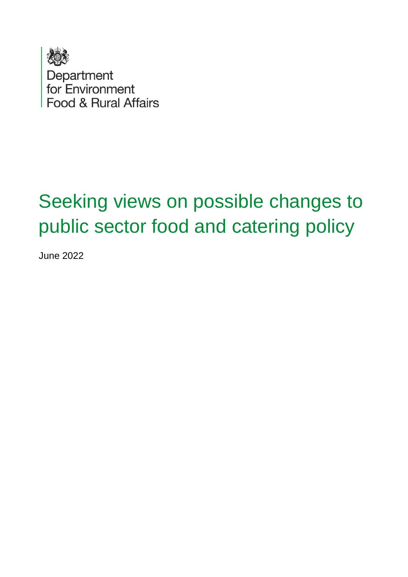

Department<br>for Environment Food & Rural Affairs

# Seeking views on possible changes to public sector food and catering policy

June 2022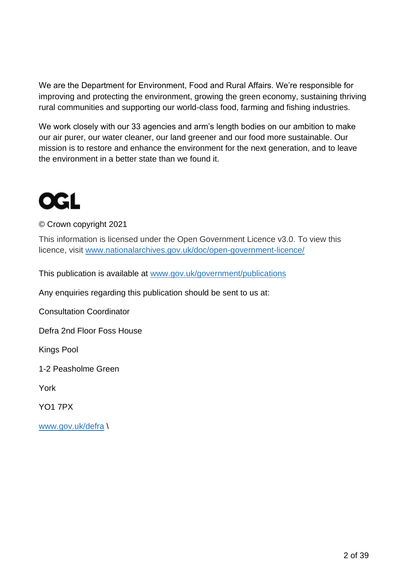We are the Department for Environment, Food and Rural Affairs. We're responsible for improving and protecting the environment, growing the green economy, sustaining thriving rural communities and supporting our world-class food, farming and fishing industries.

We work closely with our 33 agencies and arm's length bodies on our ambition to make our air purer, our water cleaner, our land greener and our food more sustainable. Our mission is to restore and enhance the environment for the next generation, and to leave the environment in a better state than we found it.

# **OGL**

© Crown copyright 2021

This information is licensed under the Open Government Licence v3.0. To view this licence, visit [www.nationalarchives.gov.uk/doc/open-government-licence/](http://www.nationalarchives.gov.uk/doc/open-government-licence/)

This publication is available at [www.gov.uk/government/publications](http://www.gov.uk/government/publications) 

Any enquiries regarding this publication should be sent to us at:

Consultation Coordinator

Defra 2nd Floor Foss House

Kings Pool

1-2 Peasholme Green

York

YO1 7PX

[www.gov.uk/defra](http://www.gov.uk/defra) \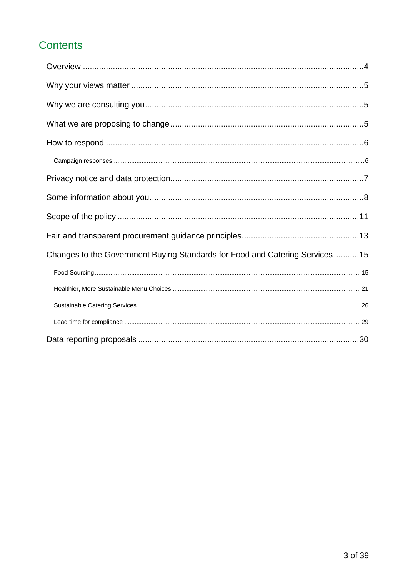# Contents

| Changes to the Government Buying Standards for Food and Catering Services15 |
|-----------------------------------------------------------------------------|
|                                                                             |
|                                                                             |
|                                                                             |
|                                                                             |
|                                                                             |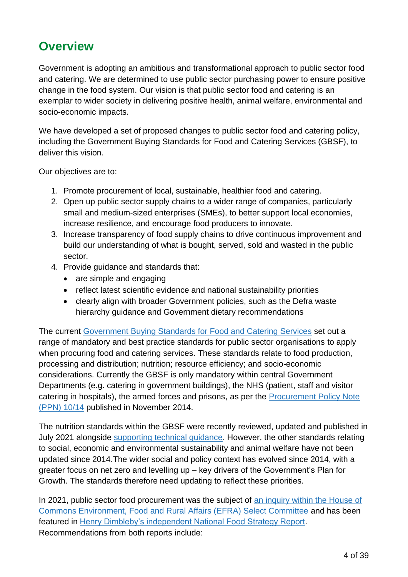# <span id="page-3-0"></span>**Overview**

Government is adopting an ambitious and transformational approach to public sector food and catering. We are determined to use public sector purchasing power to ensure positive change in the food system. Our vision is that public sector food and catering is an exemplar to wider society in delivering positive health, animal welfare, environmental and socio-economic impacts.

We have developed a set of proposed changes to public sector food and catering policy, including the Government Buying Standards for Food and Catering Services (GBSF), to deliver this vision.

Our objectives are to:

- 1. Promote procurement of local, sustainable, healthier food and catering.
- 2. Open up public sector supply chains to a wider range of companies, particularly small and medium-sized enterprises (SMEs), to better support local economies, increase resilience, and encourage food producers to innovate.
- 3. Increase transparency of food supply chains to drive continuous improvement and build our understanding of what is bought, served, sold and wasted in the public sector.
- 4. Provide guidance and standards that:
	- are simple and engaging
	- reflect latest scientific evidence and national sustainability priorities
	- clearly align with broader Government policies, such as the Defra waste hierarchy guidance and Government dietary recommendations

The current [Government Buying Standards for Food and Catering Services](https://www.gov.uk/government/publications/sustainable-procurement-the-gbs-for-food-and-catering-services/government-buying-standard-for-food-and-catering-services) set out a range of mandatory and best practice standards for public sector organisations to apply when procuring food and catering services. These standards relate to food production, processing and distribution; nutrition; resource efficiency; and socio-economic considerations. Currently the GBSF is only mandatory within central Government Departments (e.g. catering in government buildings), the NHS (patient, staff and visitor catering in hospitals), the armed forces and prisons, as per the [Procurement Policy Note](https://www.gov.uk/government/publications/procurement-policy-note-1014-the-plan-for-public-procurement-of-food-and-catering)  [\(PPN\) 10/14](https://www.gov.uk/government/publications/procurement-policy-note-1014-the-plan-for-public-procurement-of-food-and-catering) published in November 2014.

The nutrition standards within the GBSF were recently reviewed, updated and published in July 2021 alongside [supporting technical guidance.](https://assets.publishing.service.gov.uk/government/uploads/system/uploads/attachment_data/file/1011764/gbsf-nutritional-standards-technical-guidance.pdf) However, the other standards relating to social, economic and environmental sustainability and animal welfare have not been updated since 2014.The wider social and policy context has evolved since 2014, with a greater focus on net zero and levelling up – key drivers of the Government's Plan for Growth. The standards therefore need updating to reflect these priorities.

In 2021, public sector food procurement was the subject of an inquiry within the House of [Commons Environment, Food and Rural Affairs \(EFRA\) Select Committee](https://publications.parliament.uk/pa/cm5801/cmselect/cmenvfru/469/46902.htm) and has been featured in [Henry Dimbleby's independent National Food Strategy Report.](https://www.nationalfoodstrategy.org/) Recommendations from both reports include: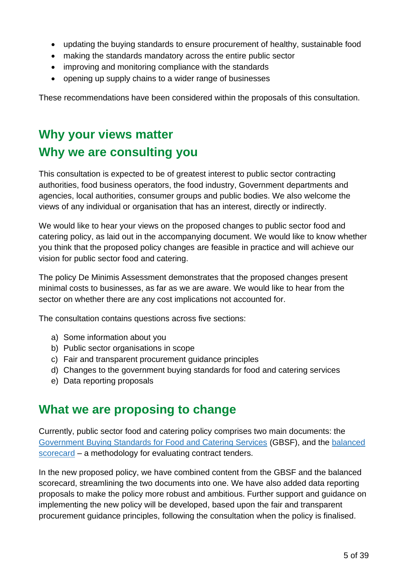- updating the buying standards to ensure procurement of healthy, sustainable food
- making the standards mandatory across the entire public sector
- improving and monitoring compliance with the standards
- opening up supply chains to a wider range of businesses

These recommendations have been considered within the proposals of this consultation.

# <span id="page-4-1"></span><span id="page-4-0"></span>**Why your views matter Why we are consulting you**

This consultation is expected to be of greatest interest to public sector contracting authorities, food business operators, the food industry, Government departments and agencies, local authorities, consumer groups and public bodies. We also welcome the views of any individual or organisation that has an interest, directly or indirectly.

We would like to hear your views on the proposed changes to public sector food and catering policy, as laid out in the accompanying document. We would like to know whether you think that the proposed policy changes are feasible in practice and will achieve our vision for public sector food and catering.

The policy De Minimis Assessment demonstrates that the proposed changes present minimal costs to businesses, as far as we are aware. We would like to hear from the sector on whether there are any cost implications not accounted for.

The consultation contains questions across five sections:

- a) Some information about you
- b) Public sector organisations in scope
- c) Fair and transparent procurement guidance principles
- d) Changes to the government buying standards for food and catering services
- e) Data reporting proposals

# <span id="page-4-2"></span>**What we are proposing to change**

Currently, public sector food and catering policy comprises two main documents: the [Government Buying Standards for Food and Catering Services](https://www.gov.uk/government/publications/sustainable-procurement-the-gbs-for-food-and-catering-services/government-buying-standard-for-food-and-catering-services) (GBSF), and the [balanced](https://www.gov.uk/government/publications/a-plan-for-public-procurement-food-and-catering-the-balanced-scorecard)  [scorecard](https://www.gov.uk/government/publications/a-plan-for-public-procurement-food-and-catering-the-balanced-scorecard) – a methodology for evaluating contract tenders.

In the new proposed policy, we have combined content from the GBSF and the balanced scorecard, streamlining the two documents into one. We have also added data reporting proposals to make the policy more robust and ambitious. Further support and guidance on implementing the new policy will be developed, based upon the fair and transparent procurement guidance principles, following the consultation when the policy is finalised.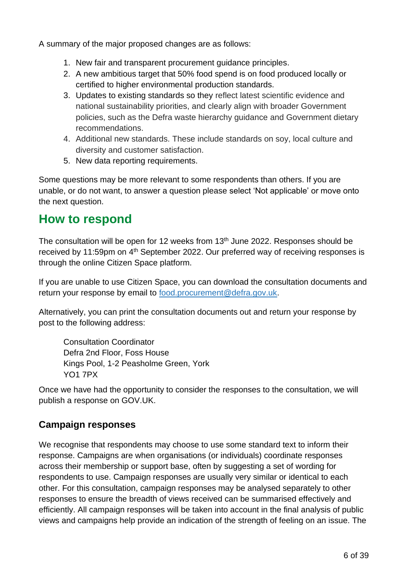A summary of the major proposed changes are as follows:

- 1. New fair and transparent procurement guidance principles.
- 2. A new ambitious target that 50% food spend is on food produced locally or certified to higher environmental production standards.
- 3. Updates to existing standards so they reflect latest scientific evidence and national sustainability priorities, and clearly align with broader Government policies, such as the Defra waste hierarchy guidance and Government dietary recommendations.
- 4. Additional new standards. These include standards on soy, local culture and diversity and customer satisfaction.
- 5. New data reporting requirements.

Some questions may be more relevant to some respondents than others. If you are unable, or do not want, to answer a question please select 'Not applicable' or move onto the next question.

# <span id="page-5-0"></span>**How to respond**

The consultation will be open for 12 weeks from  $13<sup>th</sup>$  June 2022. Responses should be received by 11:59pm on 4<sup>th</sup> September 2022. Our preferred way of receiving responses is through the online Citizen Space platform.

If you are unable to use Citizen Space, you can download the consultation documents and return your response by email to [food.procurement@defra.gov.uk.](mailto:food.procurement@defra.gov.uk)

Alternatively, you can print the consultation documents out and return your response by post to the following address:

Consultation Coordinator Defra 2nd Floor, Foss House Kings Pool, 1-2 Peasholme Green, York YO1 7PX

Once we have had the opportunity to consider the responses to the consultation, we will publish a response on GOV.UK.

# <span id="page-5-1"></span>**Campaign responses**

We recognise that respondents may choose to use some standard text to inform their response. Campaigns are when organisations (or individuals) coordinate responses across their membership or support base, often by suggesting a set of wording for respondents to use. Campaign responses are usually very similar or identical to each other. For this consultation, campaign responses may be analysed separately to other responses to ensure the breadth of views received can be summarised effectively and efficiently. All campaign responses will be taken into account in the final analysis of public views and campaigns help provide an indication of the strength of feeling on an issue. The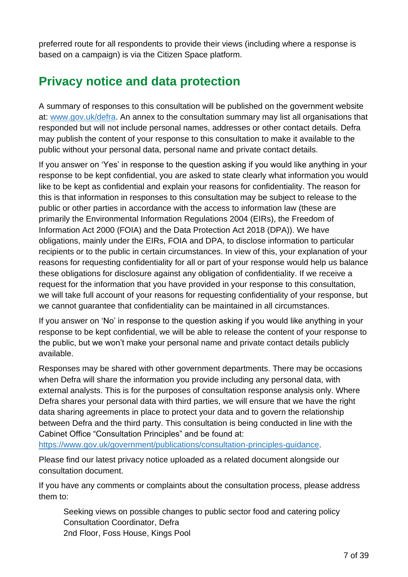preferred route for all respondents to provide their views (including where a response is based on a campaign) is via the Citizen Space platform.

# <span id="page-6-0"></span>**Privacy notice and data protection**

A summary of responses to this consultation will be published on the government website at: [www.gov.uk/defra.](http://www.gov.uk/defra) An annex to the consultation summary may list all organisations that responded but will not include personal names, addresses or other contact details. Defra may publish the content of your response to this consultation to make it available to the public without your personal data, personal name and private contact details.

If you answer on 'Yes' in response to the question asking if you would like anything in your response to be kept confidential, you are asked to state clearly what information you would like to be kept as confidential and explain your reasons for confidentiality. The reason for this is that information in responses to this consultation may be subject to release to the public or other parties in accordance with the access to information law (these are primarily the Environmental Information Regulations 2004 (EIRs), the Freedom of Information Act 2000 (FOIA) and the Data Protection Act 2018 (DPA)). We have obligations, mainly under the EIRs, FOIA and DPA, to disclose information to particular recipients or to the public in certain circumstances. In view of this, your explanation of your reasons for requesting confidentiality for all or part of your response would help us balance these obligations for disclosure against any obligation of confidentiality. If we receive a request for the information that you have provided in your response to this consultation, we will take full account of your reasons for requesting confidentiality of your response, but we cannot guarantee that confidentiality can be maintained in all circumstances.

If you answer on 'No' in response to the question asking if you would like anything in your response to be kept confidential, we will be able to release the content of your response to the public, but we won't make your personal name and private contact details publicly available.

Responses may be shared with other government departments. There may be occasions when Defra will share the information you provide including any personal data, with external analysts. This is for the purposes of consultation response analysis only. Where Defra shares your personal data with third parties, we will ensure that we have the right data sharing agreements in place to protect your data and to govern the relationship between Defra and the third party. This consultation is being conducted in line with the Cabinet Office "Consultation Principles" and be found at:

[https://www.gov.uk/government/publications/consultation-principles-guidance.](https://www.gov.uk/government/publications/consultation-principles-guidance)

Please find our latest privacy notice uploaded as a related document alongside our consultation document.

If you have any comments or complaints about the consultation process, please address them to:

Seeking views on possible changes to public sector food and catering policy Consultation Coordinator, Defra 2nd Floor, Foss House, Kings Pool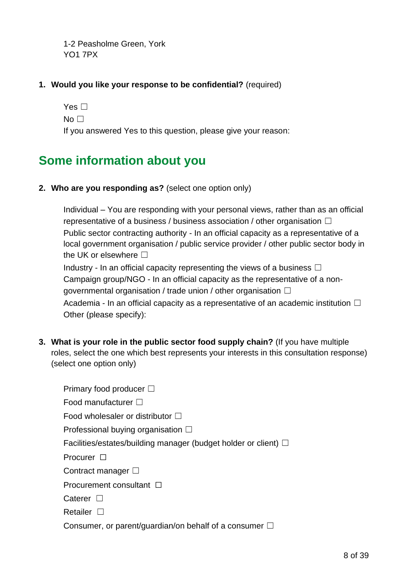1-2 Peasholme Green, York YO1 7PX

## **1. Would you like your response to be confidential?** (required)

Yes □  $No  $\Box$$ If you answered Yes to this question, please give your reason:

# <span id="page-7-0"></span>**Some information about you**

**2. Who are you responding as?** (select one option only)

Individual – You are responding with your personal views, rather than as an official representative of a business / business association / other organisation  $\Box$ Public sector contracting authority - In an official capacity as a representative of a local government organisation / public service provider / other public sector body in the UK or elsewhere  $\square$ 

Industry - In an official capacity representing the views of a business  $\Box$ Campaign group/NGO - In an official capacity as the representative of a nongovernmental organisation / trade union / other organisation  $\Box$ Academia - In an official capacity as a representative of an academic institution  $\Box$ Other (please specify):

**3. What is your role in the public sector food supply chain?** (If you have multiple roles, select the one which best represents your interests in this consultation response) (select one option only)

| Primary food producer $\square$                                         |
|-------------------------------------------------------------------------|
| Food manufacturer $\square$                                             |
| Food wholesaler or distributor $\square$                                |
| Professional buying organisation $\square$                              |
| Facilities/estates/building manager (budget holder or client) $\square$ |
| Procurer $\Box$                                                         |
| Contract manager $\square$                                              |
| Procurement consultant $\Box$                                           |
| Caterer $\square$                                                       |
| Retailer $\square$                                                      |
| Consumer, or parent/guardian/on behalf of a consumer $\square$          |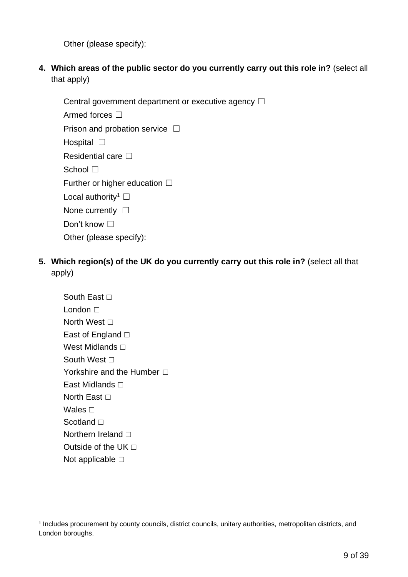Other (please specify):

**4. Which areas of the public sector do you currently carry out this role in?** (select all that apply)

Central government department or executive agency □ Armed forces □ Prison and probation service  $\Box$ Hospital □ **Residential care □** School □ Further or higher education  $□$ Local authority<sup>1</sup>  $\Box$ None currently □ Don't know □ Other (please specify):

**5. Which region(s) of the UK do you currently carry out this role in?** (select all that apply)

South East □ London □ North West **□** East of England □ West Midlands **□** South West **□** Yorkshire and the Humber □ East Midlands **□** North East **□** Wales **□** Scotland **□** Northern Ireland □ Outside of the UK  $\Box$ Not applicable □

<sup>1</sup> Includes procurement by county councils, district councils, unitary authorities, metropolitan districts, and London boroughs.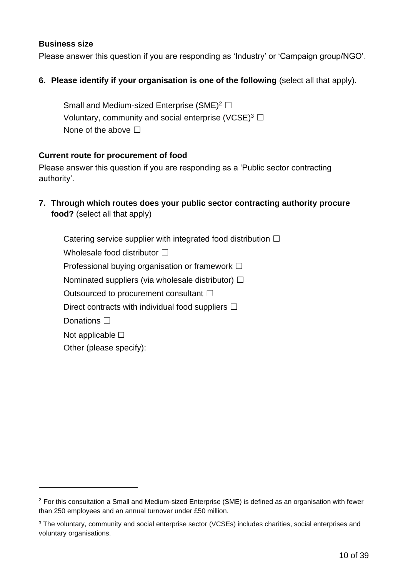#### **Business size**

Please answer this question if you are responding as 'Industry' or 'Campaign group/NGO'.

#### **6. Please identify if your organisation is one of the following (select all that apply).**

Small and Medium-sized Enterprise (SME)<sup>2</sup>  $\Box$ Voluntary, community and social enterprise (VCSE)<sup>3</sup>  $\Box$ None of the above  $\Box$ 

#### **Current route for procurement of food**

Please answer this question if you are responding as a 'Public sector contracting authority'.

**7. Through which routes does your public sector contracting authority procure food?** (select all that apply)

Catering service supplier with integrated food distribution  $\Box$ Wholesale food distributor  $\Box$ Professional buying organisation or framework □ Nominated suppliers (via wholesale distributor)  $\Box$ Outsourced to procurement consultant □ Direct contracts with individual food suppliers  $\Box$ Donations **□** Not applicable  $□$ Other (please specify):

 $2$  For this consultation a Small and Medium-sized Enterprise (SME) is defined as an organisation with fewer than 250 employees and an annual turnover under £50 million.

<sup>&</sup>lt;sup>3</sup> The voluntary, community and social enterprise sector (VCSEs) includes charities, social enterprises and voluntary organisations.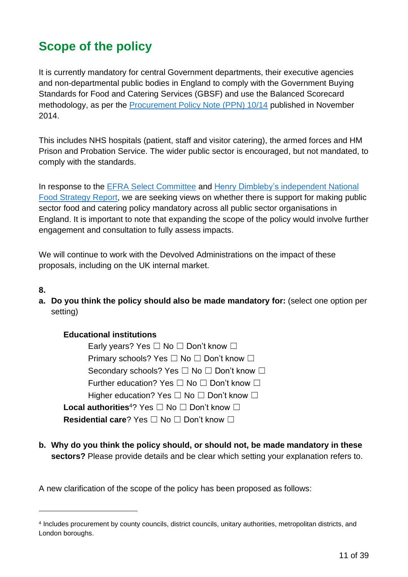# <span id="page-10-0"></span>**Scope of the policy**

It is currently mandatory for central Government departments, their executive agencies and non-departmental public bodies in England to comply with the Government Buying Standards for Food and Catering Services (GBSF) and use the Balanced Scorecard methodology, as per the [Procurement](https://www.gov.uk/government/publications/procurement-policy-note-1014-the-plan-for-public-procurement-of-food-and-catering) Policy Note (PPN) 10/14 published in November 2014.

This includes NHS hospitals (patient, staff and visitor catering), the armed forces and HM Prison and Probation Service. The wider public sector is encouraged, but not mandated, to comply with the standards.

In response to the [EFRA Select Committee](https://publications.parliament.uk/pa/cm5801/cmselect/cmenvfru/469/46902.htm) and Henry Dimbleby's [independent National](https://www.nationalfoodstrategy.org/)  [Food Strategy Report,](https://www.nationalfoodstrategy.org/) we are seeking views on whether there is support for making public sector food and catering policy mandatory across all public sector organisations in England. It is important to note that expanding the scope of the policy would involve further engagement and consultation to fully assess impacts.

We will continue to work with the Devolved Administrations on the impact of these proposals, including on the UK internal market.

- **8.**
- **a. Do you think the policy should also be made mandatory for:** (select one option per setting)

**Educational institutions**  Early years? Yes □ No □ Don't know □ Primary schools? Yes □ No □ Don't know □ Secondary schools? Yes □ No □ Don't know □ Further education? Yes □ No □ Don't know □ Higher education? Yes □ No □ Don't know □ **Local authorities**<sup>4</sup>? Yes ☐ No ☐ Don't know ☐ **Residential care?** Yes □ No □ Don't know □

**b. Why do you think the policy should, or should not, be made mandatory in these sectors?** Please provide details and be clear which setting your explanation refers to.

A new clarification of the scope of the policy has been proposed as follows:

<sup>4</sup> Includes procurement by county councils, district councils, unitary authorities, metropolitan districts, and London boroughs.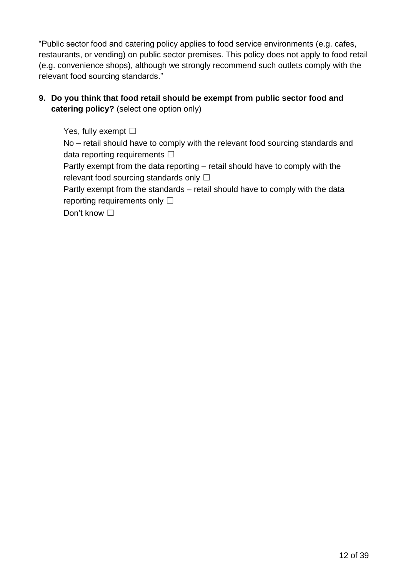"Public sector food and catering policy applies to food service environments (e.g. cafes, restaurants, or vending) on public sector premises. This policy does not apply to food retail (e.g. convenience shops), although we strongly recommend such outlets comply with the relevant food sourcing standards."

# **9. Do you think that food retail should be exempt from public sector food and catering policy?** (select one option only)

Yes, fully exempt  $\square$ 

No – retail should have to comply with the relevant food sourcing standards and data reporting requirements  $□$ 

Partly exempt from the data reporting – retail should have to comply with the relevant food sourcing standards only  $\Box$ 

Partly exempt from the standards – retail should have to comply with the data reporting requirements only  $\Box$ 

Don't know □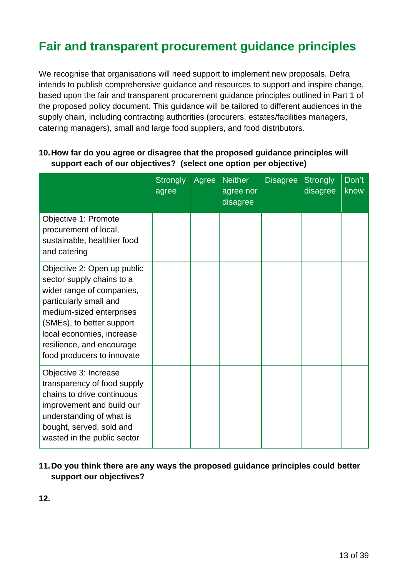# <span id="page-12-0"></span>**Fair and transparent procurement guidance principles**

We recognise that organisations will need support to implement new proposals. Defra intends to publish comprehensive guidance and resources to support and inspire change, based upon the fair and transparent procurement guidance principles outlined in Part 1 of the proposed policy document. This guidance will be tailored to different audiences in the supply chain, including contracting authorities (procurers, estates/facilities managers, catering managers), small and large food suppliers, and food distributors.

|                                                                                                                                                                                                                                                                  | Strongly Agree<br>agree | <b>Neither</b><br>agree nor<br>disagree | Disagree Strongly<br>disagree | Don't<br>know |
|------------------------------------------------------------------------------------------------------------------------------------------------------------------------------------------------------------------------------------------------------------------|-------------------------|-----------------------------------------|-------------------------------|---------------|
| Objective 1: Promote<br>procurement of local,<br>sustainable, healthier food<br>and catering                                                                                                                                                                     |                         |                                         |                               |               |
| Objective 2: Open up public<br>sector supply chains to a<br>wider range of companies,<br>particularly small and<br>medium-sized enterprises<br>(SMEs), to better support<br>local economies, increase<br>resilience, and encourage<br>food producers to innovate |                         |                                         |                               |               |
| Objective 3: Increase<br>transparency of food supply<br>chains to drive continuous<br>improvement and build our<br>understanding of what is<br>bought, served, sold and<br>wasted in the public sector                                                           |                         |                                         |                               |               |

## **10.How far do you agree or disagree that the proposed guidance principles will support each of our objectives? (select one option per objective)**

# **11.Do you think there are any ways the proposed guidance principles could better support our objectives?**

**12.**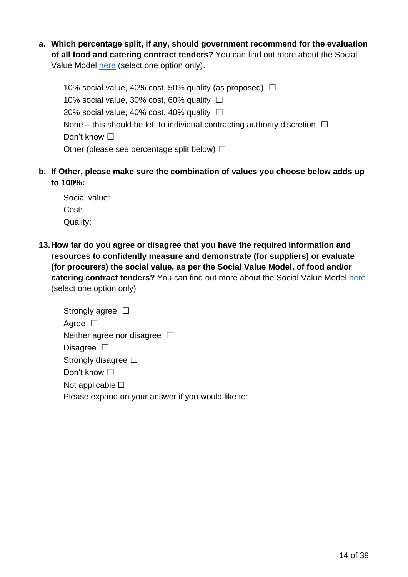**a. Which percentage split, if any, should government recommend for the evaluation of all food and catering contract tenders?** You can find out more about the Social Value Model [here](https://www.gov.uk/government/publications/procurement-policy-note-0620-taking-account-of-social-value-in-the-award-of-central-government-contracts) (select one option only).

10% social value, 40% cost, 50% quality (as proposed)  $\Box$ 10% social value, 30% cost, 60% quality  $\Box$ 20% social value, 40% cost, 40% quality  $\Box$ None – this should be left to individual contracting authority discretion  $\Box$ Don't know □ Other (please see percentage split below)  $\Box$ 

**b. If Other, please make sure the combination of values you choose below adds up to 100%:**

Social value: Cost: Quality:

**13.How far do you agree or disagree that you have the required information and resources to confidently measure and demonstrate (for suppliers) or evaluate (for procurers) the social value, as per the Social Value Model, of food and/or catering contract tenders?** You can find out more about the Social Value Model [here](https://www.gov.uk/government/publications/procurement-policy-note-0620-taking-account-of-social-value-in-the-award-of-central-government-contracts) (select one option only)

| Strongly agree $\Box$                              |
|----------------------------------------------------|
| Agree $\Box$                                       |
| Neither agree nor disagree $\Box$                  |
| Disagree $\square$                                 |
| Strongly disagree $\square$                        |
| Don't know $\square$                               |
| Not applicable $\square$                           |
| Please expand on your answer if you would like to: |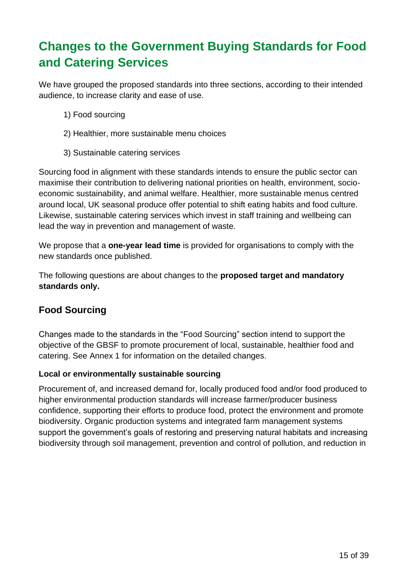# <span id="page-14-0"></span>**Changes to the Government Buying Standards for Food and Catering Services**

We have grouped the proposed standards into three sections, according to their intended audience, to increase clarity and ease of use.

- 1) Food sourcing
- 2) Healthier, more sustainable menu choices
- 3) Sustainable catering services

Sourcing food in alignment with these standards intends to ensure the public sector can maximise their contribution to delivering national priorities on health, environment, socioeconomic sustainability, and animal welfare. Healthier, more sustainable menus centred around local, UK seasonal produce offer potential to shift eating habits and food culture. Likewise, sustainable catering services which invest in staff training and wellbeing can lead the way in prevention and management of waste.

We propose that a **one-year lead time** is provided for organisations to comply with the new standards once published.

The following questions are about changes to the **proposed target and mandatory standards only.**

# <span id="page-14-1"></span>**Food Sourcing**

Changes made to the standards in the "Food Sourcing" section intend to support the objective of the GBSF to promote procurement of local, sustainable, healthier food and catering. See Annex 1 for information on the detailed changes.

## **Local or environmentally sustainable sourcing**

Procurement of, and increased demand for, locally produced food and/or food produced to higher environmental production standards will increase farmer/producer business confidence, supporting their efforts to produce food, protect the environment and promote biodiversity. Organic production systems and integrated farm management systems support the government's goals of restoring and preserving natural habitats and increasing biodiversity through soil management, prevention and control of pollution, and reduction in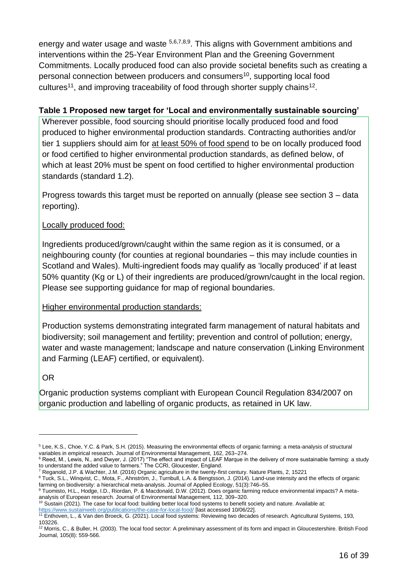energy and water usage and waste <sup>5,6,7,8,9</sup>. This aligns with Government ambitions and interventions within the 25-Year Environment Plan and the Greening Government Commitments. Locally produced food can also provide societal benefits such as creating a personal connection between producers and consumers<sup>10</sup>, supporting local food cultures<sup>11</sup>, and improving traceability of food through shorter supply chains<sup>12</sup>.

#### **Table 1 Proposed new target for 'Local and environmentally sustainable sourcing'**

Wherever possible, food sourcing should prioritise locally produced food and food produced to higher environmental production standards. Contracting authorities and/or tier 1 suppliers should aim for at least 50% of food spend to be on locally produced food or food certified to higher environmental production standards, as defined below, of which at least 20% must be spent on food certified to higher environmental production standards (standard 1.2).

Progress towards this target must be reported on annually (please see section 3 – data reporting).

## Locally produced food:

Ingredients produced/grown/caught within the same region as it is consumed, or a neighbouring county (for counties at regional boundaries – this may include counties in Scotland and Wales). Multi-ingredient foods may qualify as 'locally produced' if at least 50% quantity (Kg or L) of their ingredients are produced/grown/caught in the local region. Please see supporting guidance for map of regional boundaries.

## Higher environmental production standards:

Production systems demonstrating integrated farm management of natural habitats and biodiversity; soil management and fertility; prevention and control of pollution; energy, water and waste management; landscape and nature conservation (Linking Environment and Farming (LEAF) certified, or equivalent).

## OR

Organic production systems compliant with European Council Regulation 834/2007 on organic production and labelling of organic products, as retained in UK law.

<sup>7</sup> Reganold, J.P. & Wachter, J.M. (2016) Organic agriculture in the twenty-first century. Nature Plants, 2, 15221

<sup>5</sup> Lee, K.S., Choe, Y.C. & Park, S.H. (2015). Measuring the environmental effects of organic farming: a meta-analysis of structural variables in empirical research. Journal of Environmental Management, 162, 263–274.

 $6$  Reed, M., Lewis, N., and Dwyer, J. (2017) "The effect and impact of LEAF Marque in the delivery of more sustainable farming: a study to understand the added value to farmers." The CCRI, Gloucester, England.

<sup>&</sup>lt;sup>8</sup> Tuck, S.L., Winqvist, C., Mota, F., Ahnström, J., Turnbull, L.A. & Bengtsson, J. (2014). Land-use intensity and the effects of organic farming on biodiversity: a hierarchical meta-analysis. Journal of Applied Ecology, 51(3):746–55.

<sup>9</sup> Tuomisto, H.L., Hodge, I.D., Riordan, P. & Macdonald, D.W. (2012). Does organic farming reduce environmental impacts? A metaanalysis of European research. Journal of Environmental Management, 112, 309–320.

<sup>&</sup>lt;sup>10</sup> Sustain (2021). The case for local food: building better local food systems to benefit society and nature. Available at: <https://www.sustainweb.org/publications/the-case-for-local-food/> [last accessed 10/06/22].

<sup>11</sup> Enthoven, L., & Van den Broeck, G. (2021). Local food systems: Reviewing two decades of research. Agricultural Systems, 193, 103226.

<sup>&</sup>lt;sup>12</sup> Morris, C., & Buller, H. (2003). The local food sector: A preliminary assessment of its form and impact in Gloucestershire. British Food Journal, 105(8): 559-566.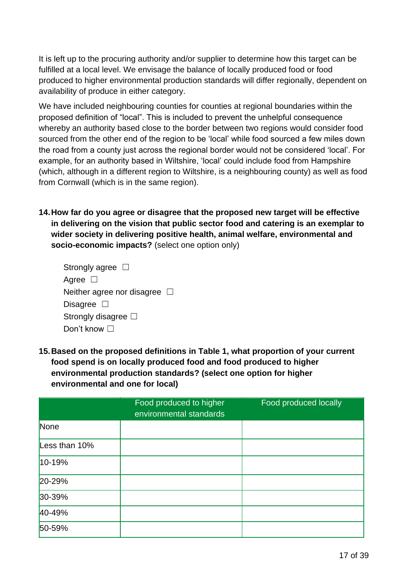It is left up to the procuring authority and/or supplier to determine how this target can be fulfilled at a local level. We envisage the balance of locally produced food or food produced to higher environmental production standards will differ regionally, dependent on availability of produce in either category.

We have included neighbouring counties for counties at regional boundaries within the proposed definition of "local". This is included to prevent the unhelpful consequence whereby an authority based close to the border between two regions would consider food sourced from the other end of the region to be 'local' while food sourced a few miles down the road from a county just across the regional border would not be considered 'local'. For example, for an authority based in Wiltshire, 'local' could include food from Hampshire (which, although in a different region to Wiltshire, is a neighbouring county) as well as food from Cornwall (which is in the same region).

**14.How far do you agree or disagree that the proposed new target will be effective in delivering on the vision that public sector food and catering is an exemplar to wider society in delivering positive health, animal welfare, environmental and socio-economic impacts?** (select one option only)

| Strongly agree $\Box$             |  |
|-----------------------------------|--|
| Agree $\Box$                      |  |
| Neither agree nor disagree $\Box$ |  |
| Disagree $\square$                |  |
| Strongly disagree $\square$       |  |
| Don't know $\Box$                 |  |

**15.Based on the proposed definitions in Table 1, what proportion of your current food spend is on locally produced food and food produced to higher environmental production standards? (select one option for higher environmental and one for local)**

|               | Food produced to higher<br>environmental standards | <b>Food produced locally</b> |
|---------------|----------------------------------------------------|------------------------------|
| None          |                                                    |                              |
| Less than 10% |                                                    |                              |
| $10 - 19%$    |                                                    |                              |
| 20-29%        |                                                    |                              |
| 30-39%        |                                                    |                              |
| 40-49%        |                                                    |                              |
| 50-59%        |                                                    |                              |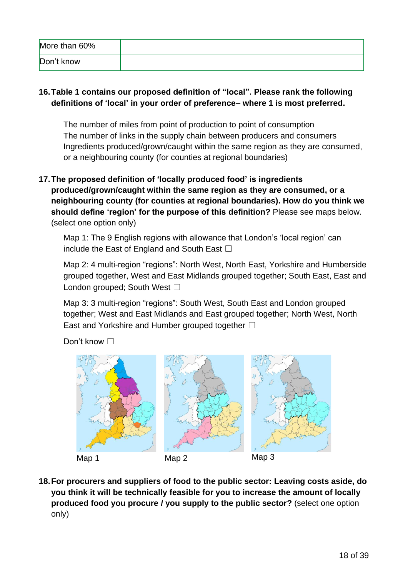| More than 60% |  |
|---------------|--|
| Don't know    |  |

# **16.Table 1 contains our proposed definition of "local". Please rank the following definitions of 'local' in your order of preference– where 1 is most preferred.**

The number of miles from point of production to point of consumption The number of links in the supply chain between producers and consumers Ingredients produced/grown/caught within the same region as they are consumed, or a neighbouring county (for counties at regional boundaries)

**17.The proposed definition of 'locally produced food' is ingredients produced/grown/caught within the same region as they are consumed, or a neighbouring county (for counties at regional boundaries). How do you think we should define 'region' for the purpose of this definition?** Please see maps below. (select one option only)

Map 1: The 9 English regions with allowance that London's 'local region' can include the East of England and South East  $\Box$ 

Map 2: 4 multi-region "regions": North West, North East, Yorkshire and Humberside grouped together, West and East Midlands grouped together; South East, East and London grouped; South West  $\Box$ 

Map 3: 3 multi-region "regions": South West, South East and London grouped together; West and East Midlands and East grouped together; North West, North East and Yorkshire and Humber grouped together  $\Box$ 

Don't know □



**18.For procurers and suppliers of food to the public sector: Leaving costs aside, do you think it will be technically feasible for you to increase the amount of locally produced food you procure / you supply to the public sector?** (select one option only)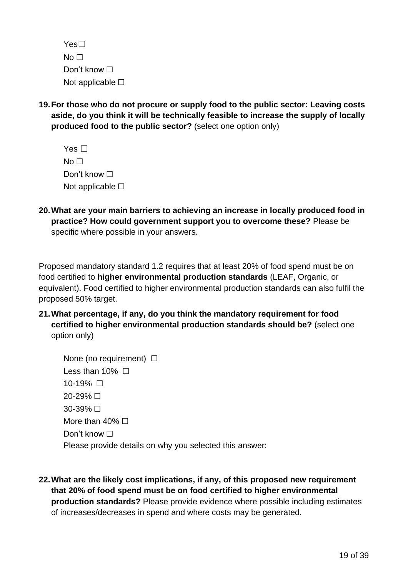| $Yes\square$             |  |
|--------------------------|--|
| No $\Box$                |  |
| Don't know $\Box$        |  |
| Not applicable $\square$ |  |

**19.For those who do not procure or supply food to the public sector: Leaving costs aside, do you think it will be technically feasible to increase the supply of locally produced food to the public sector?** (select one option only)

| Yes $\square$            |
|--------------------------|
| No ⊟                     |
| Don't know ⊟             |
| Not applicable $\square$ |

**20.What are your main barriers to achieving an increase in locally produced food in practice? How could government support you to overcome these?** Please be specific where possible in your answers.

Proposed mandatory standard 1.2 requires that at least 20% of food spend must be on food certified to **higher environmental production standards** (LEAF, Organic, or equivalent). Food certified to higher environmental production standards can also fulfil the proposed 50% target.

**21.What percentage, if any, do you think the mandatory requirement for food certified to higher environmental production standards should be?** (select one option only)

| None (no requirement) $\Box$                            |
|---------------------------------------------------------|
| Less than 10% $\Box$                                    |
| 10-19% □                                                |
| 20-29% □                                                |
| $30-39\%$ $\Box$                                        |
| More than 40% $\Box$                                    |
| Don't know $\Box$                                       |
| Please provide details on why you selected this answer: |

**22.What are the likely cost implications, if any, of this proposed new requirement that 20% of food spend must be on food certified to higher environmental production standards?** Please provide evidence where possible including estimates of increases/decreases in spend and where costs may be generated.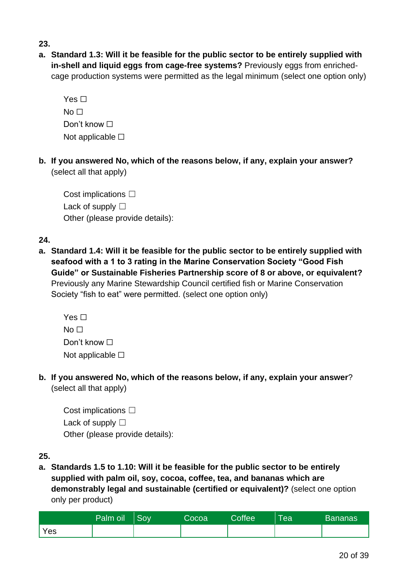#### **23.**

**a. Standard 1.3: Will it be feasible for the public sector to be entirely supplied with in-shell and liquid eggs from cage-free systems?** Previously eggs from enrichedcage production systems were permitted as the legal minimum (select one option only)

| Yes $\Box$               |
|--------------------------|
| No ⊟                     |
| Don't know $\Box$        |
| Not applicable $\square$ |

**b. If you answered No, which of the reasons below, if any, explain your answer?**  (select all that apply)

Cost implications □ Lack of supply □ Other (please provide details):

**24.**

**a. Standard 1.4: Will it be feasible for the public sector to be entirely supplied with seafood with a 1 to 3 rating in the Marine Conservation Society "Good Fish Guide" or Sustainable Fisheries Partnership score of 8 or above, or equivalent?** Previously any Marine Stewardship Council certified fish or Marine Conservation Society "fish to eat" were permitted. (select one option only)

| Yes $\Box$               |
|--------------------------|
| No $\Box$                |
| Don't know $\Box$        |
| Not applicable $\square$ |

**b. If you answered No, which of the reasons below, if any, explain your answer**? (select all that apply)

Cost implications □ Lack of supply  $\square$ Other (please provide details):

**a. Standards 1.5 to 1.10: Will it be feasible for the public sector to be entirely supplied with palm oil, soy, cocoa, coffee, tea, and bananas which are demonstrably legal and sustainable (certified or equivalent)?** (select one option only per product)

|     | Palm oil | Sov | Cocoa | <b>Coffee</b> | <b>l</b> ea | <b>Bananas</b> |
|-----|----------|-----|-------|---------------|-------------|----------------|
| Yes |          |     |       |               |             |                |

**<sup>25.</sup>**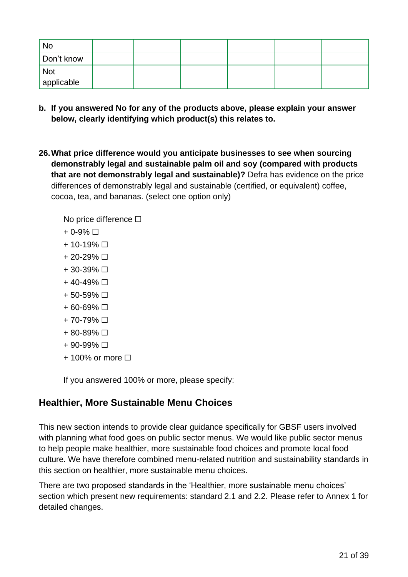| <b>No</b>  |  |  |  |
|------------|--|--|--|
| Don't know |  |  |  |
| <b>Not</b> |  |  |  |
| applicable |  |  |  |

- **b. If you answered No for any of the products above, please explain your answer below, clearly identifying which product(s) this relates to.**
- **26.What price difference would you anticipate businesses to see when sourcing demonstrably legal and sustainable palm oil and soy (compared with products that are not demonstrably legal and sustainable)?** Defra has evidence on the price differences of demonstrably legal and sustainable (certified, or equivalent) coffee, cocoa, tea, and bananas. (select one option only)

No price difference  $\Box$ 

- $+ 0.9\% \Box$
- $+ 10 19\% \Box$
- $+ 20 29\% \Box$
- $+ 30 39\% \Box$
- $+ 40 49\% \Box$
- + 50-59% ☐
- $+60-69\%$  □
- $+ 70 79\% \square$
- $+ 80 89\% \Box$
- $+90-99%$   $\Box$
- $+$  100% or more  $\Box$

If you answered 100% or more, please specify:

# <span id="page-20-0"></span>**Healthier, More Sustainable Menu Choices**

This new section intends to provide clear guidance specifically for GBSF users involved with planning what food goes on public sector menus. We would like public sector menus to help people make healthier, more sustainable food choices and promote local food culture. We have therefore combined menu-related nutrition and sustainability standards in this section on healthier, more sustainable menu choices.

There are two proposed standards in the 'Healthier, more sustainable menu choices' section which present new requirements: standard 2.1 and 2.2. Please refer to Annex 1 for detailed changes.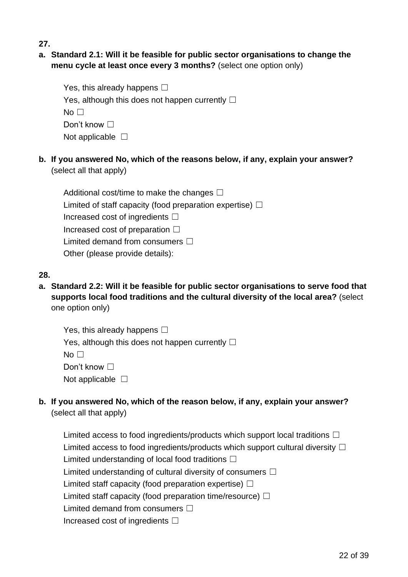**27.**

# **a. Standard 2.1: Will it be feasible for public sector organisations to change the menu cycle at least once every 3 months?** (select one option only)

| Yes, this already happens $\square$                    |
|--------------------------------------------------------|
| Yes, although this does not happen currently $\square$ |
| No $\Box$                                              |
| Don't know $\square$                                   |
| Not applicable $\Box$                                  |

**b. If you answered No, which of the reasons below, if any, explain your answer?** (select all that apply)

Additional cost/time to make the changes  $□$ Limited of staff capacity (food preparation expertise)  $\Box$ Increased cost of ingredients  $\Box$ Increased cost of preparation  $\Box$ Limited demand from consumers  $□$ Other (please provide details):

# **28.**

**a. Standard 2.2: Will it be feasible for public sector organisations to serve food that supports local food traditions and the cultural diversity of the local area?** (select one option only)

| Yes, this already happens $\Box$                       |
|--------------------------------------------------------|
| Yes, although this does not happen currently $\square$ |
| No $\square$                                           |
| Don't know $\square$                                   |
| Not applicable $\square$                               |

**b. If you answered No, which of the reason below, if any, explain your answer?**  (select all that apply)

Limited access to food ingredients/products which support local traditions  $\Box$ Limited access to food ingredients/products which support cultural diversity  $\Box$ Limited understanding of local food traditions  $\Box$ Limited understanding of cultural diversity of consumers  $\Box$ Limited staff capacity (food preparation expertise)  $\Box$ Limited staff capacity (food preparation time/resource)  $\Box$ Limited demand from consumers  $□$ Increased cost of ingredients  $\Box$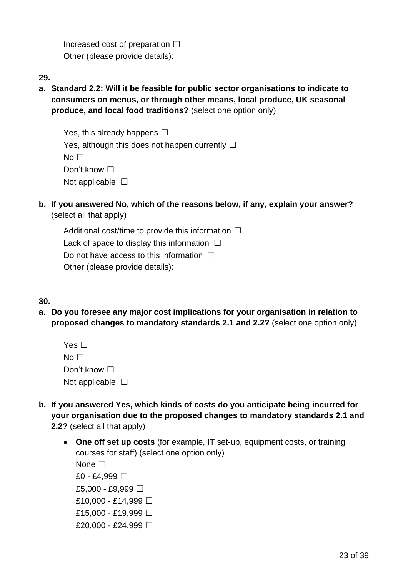Increased cost of preparation  $\Box$ Other (please provide details):

- **29.**
- **a. Standard 2.2: Will it be feasible for public sector organisations to indicate to consumers on menus, or through other means, local produce, UK seasonal produce, and local food traditions?** (select one option only)

| Yes, this already happens $\square$                    |
|--------------------------------------------------------|
| Yes, although this does not happen currently $\square$ |
| No $\Box$                                              |
| Don't know $\square$                                   |
| Not applicable $\Box$                                  |

**b. If you answered No, which of the reasons below, if any, explain your answer?**  (select all that apply)

Additional cost/time to provide this information  $\Box$ Lack of space to display this information  $\Box$ Do not have access to this information  $\Box$ Other (please provide details):

## **30.**

**a. Do you foresee any major cost implications for your organisation in relation to proposed changes to mandatory standards 2.1 and 2.2?** (select one option only)

| Yes $\Box$               |  |
|--------------------------|--|
| No Li                    |  |
| Don't know $\Box$        |  |
| Not applicable $\square$ |  |

- **b. If you answered Yes, which kinds of costs do you anticipate being incurred for your organisation due to the proposed changes to mandatory standards 2.1 and 2.2?** (select all that apply)
	- **One off set up costs** (for example, IT set-up, equipment costs, or training courses for staff) (select one option only) None <del>□</del> £0 - £4.999  $\Box$ £5,000 - £9,999  $\Box$ £10,000 - £14,999  $\Box$ 
		- £15,000 £19,999  $\Box$
		- £20,000 £24,999  $\Box$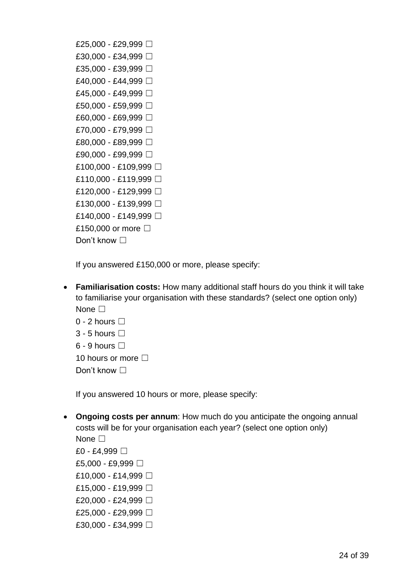| £25,000 - £29,999 □   |
|-----------------------|
| £30,000 - £34,999 □   |
| £35,000 - £39,999 □   |
| £40,000 - £44,999 □   |
| £45,000 - £49,999 □   |
| £50,000 - £59,999 □   |
| £60,000 - £69,999 □   |
| £70,000 - £79,999 □   |
| £80,000 - £89,999 □   |
| £90,000 - £99,999 □   |
| £100,000 - £109,999 □ |
| £110,000 - £119,999 □ |
| £120,000 - £129,999 □ |
| £130,000 - £139,999 □ |
| £140,000 - £149,999 □ |
| £150,000 or more □    |
| Don't know $\Box$     |

If you answered £150,000 or more, please specify:

• **Familiarisation costs:** How many additional staff hours do you think it will take to familiarise your organisation with these standards? (select one option only) None <del>□</del>

| 0 - 2 hours $\Box$         |
|----------------------------|
| 3 - 5 hours $\Box$         |
| 6 - 9 hours $\Box$         |
| 10 hours or more $\square$ |
| Don't know $\square$       |

If you answered 10 hours or more, please specify:

- **Ongoing costs per annum**: How much do you anticipate the ongoing annual costs will be for your organisation each year? (select one option only) None □
	- £0 £4,999 □ £5,000 - £9,999 □ £10,000 - £14,999 □ £15,000 - £19,999 □ £20,000 - £24,999 □ £25,000 - £29,999 □ £30,000 - £34,999 □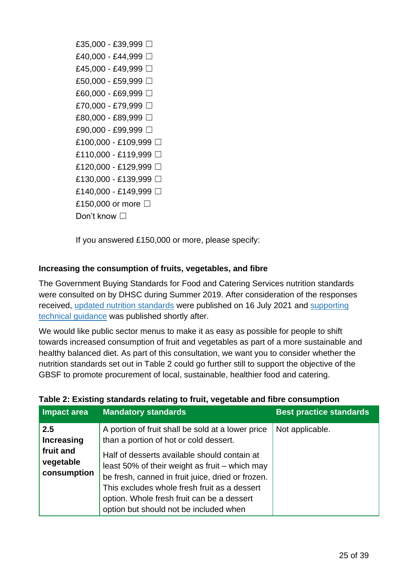| £35,000 - £39,999 □   |
|-----------------------|
| £40,000 - £44,999 □   |
| £45,000 - £49,999 □   |
| £50,000 - £59,999 □   |
| £60,000 - £69,999 □   |
| £70,000 - £79.999 □   |
| £80,000 - £89,999 □   |
| £90,000 - £99,999 □   |
| £100,000 - £109,999 □ |
| £110,000 - £119,999 □ |
| £120,000 - £129,999 □ |
| £130,000 - £139,999 □ |
| £140,000 - £149,999 □ |
| £150,000 or more □    |
| Don't know $\square$  |

If you answered £150,000 or more, please specify:

## **Increasing the consumption of fruits, vegetables, and fibre**

The Government Buying Standards for Food and Catering Services nutrition standards were consulted on by DHSC during Summer 2019. After consideration of the responses received, [updated nutrition standards](https://www.gov.uk/government/publications/sustainable-procurement-the-gbs-for-food-and-catering-services/government-buying-standard-for-food-and-catering-services) were published on 16 July 2021 and [supporting](https://assets.publishing.service.gov.uk/government/uploads/system/uploads/attachment_data/file/1011764/gbsf-nutritional-standards-technical-guidance.pdf)  [technical guidance](https://assets.publishing.service.gov.uk/government/uploads/system/uploads/attachment_data/file/1011764/gbsf-nutritional-standards-technical-guidance.pdf) was published shortly after.

We would like public sector menus to make it as easy as possible for people to shift towards increased consumption of fruit and vegetables as part of a more sustainable and healthy balanced diet. As part of this consultation, we want you to consider whether the nutrition standards set out in Table 2 could go further still to support the objective of the GBSF to promote procurement of local, sustainable, healthier food and catering.

| Impact area                                        | <b>Mandatory standards</b>                                                                                                                                                                    | <b>Best practice standards</b> |
|----------------------------------------------------|-----------------------------------------------------------------------------------------------------------------------------------------------------------------------------------------------|--------------------------------|
| 2.5<br><b>Increasing</b><br>fruit and<br>vegetable | A portion of fruit shall be sold at a lower price<br>than a portion of hot or cold dessert.<br>Half of desserts available should contain at<br>least 50% of their weight as fruit – which may | Not applicable.                |
| consumption                                        | be fresh, canned in fruit juice, dried or frozen.<br>This excludes whole fresh fruit as a dessert<br>option. Whole fresh fruit can be a dessert<br>option but should not be included when     |                                |

#### **Table 2: Existing standards relating to fruit, vegetable and fibre consumption**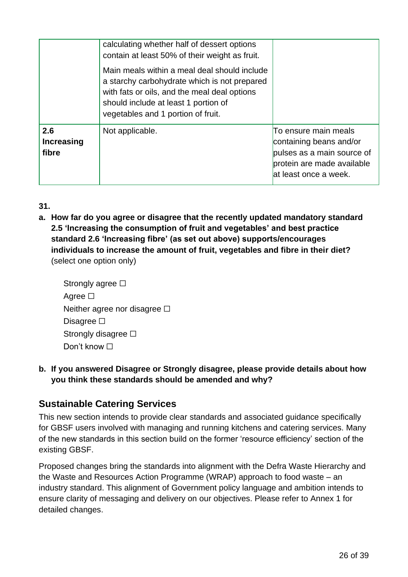|                                   | calculating whether half of dessert options<br>contain at least 50% of their weight as fruit.<br>Main meals within a meal deal should include<br>a starchy carbohydrate which is not prepared<br>with fats or oils, and the meal deal options<br>should include at least 1 portion of<br>vegetables and 1 portion of fruit. |                                                                                                                                      |
|-----------------------------------|-----------------------------------------------------------------------------------------------------------------------------------------------------------------------------------------------------------------------------------------------------------------------------------------------------------------------------|--------------------------------------------------------------------------------------------------------------------------------------|
| 2.6<br><b>Increasing</b><br>fibre | Not applicable.                                                                                                                                                                                                                                                                                                             | To ensure main meals<br>containing beans and/or<br>pulses as a main source of<br>protein are made available<br>at least once a week. |

**31.**

**a. How far do you agree or disagree that the recently updated mandatory standard 2.5 'Increasing the consumption of fruit and vegetables' and best practice standard 2.6 'Increasing fibre' (as set out above) supports/encourages individuals to increase the amount of fruit, vegetables and fibre in their diet?** (select one option only)

| Strongly agree $\Box$             |
|-----------------------------------|
| Agree ⊡                           |
| Neither agree nor disagree $\Box$ |
| Disagree $\square$                |
| Strongly disagree $\square$       |
| Don't know □                      |

# **b. If you answered Disagree or Strongly disagree, please provide details about how you think these standards should be amended and why?**

# <span id="page-25-0"></span>**Sustainable Catering Services**

This new section intends to provide clear standards and associated guidance specifically for GBSF users involved with managing and running kitchens and catering services. Many of the new standards in this section build on the former 'resource efficiency' section of the existing GBSF.

Proposed changes bring the standards into alignment with the Defra Waste Hierarchy and the Waste and Resources Action Programme (WRAP) approach to food waste – an industry standard. This alignment of Government policy language and ambition intends to ensure clarity of messaging and delivery on our objectives. Please refer to Annex 1 for detailed changes.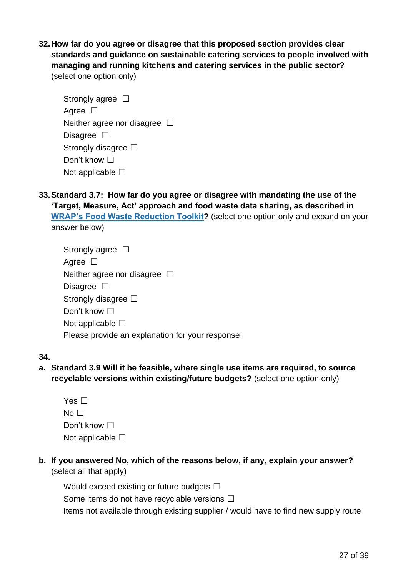**32.How far do you agree or disagree that this proposed section provides clear standards and guidance on sustainable catering services to people involved with managing and running kitchens and catering services in the public sector?** (select one option only)

Strongly agree  $\square$ Agree □ Neither agree nor disagree  $\Box$ Disagree **□** Strongly disagree **□** Don't know □ Not applicable  $\square$ 

**33.Standard 3.7: How far do you agree or disagree with mandating the use of the 'Target, Measure, Act' approach and food waste data sharing, as described in [WRAP's Food Waste Reduction Toolkit?](https://wrap.org.uk/resources/tool/food-waste-reduction-roadmap-toolkit)** (select one option only and expand on your answer below)

| Strongly agree $\Box$                            |
|--------------------------------------------------|
| Agree $\Box$                                     |
| Neither agree nor disagree $\Box$                |
| Disagree $\square$                               |
| Strongly disagree $\square$                      |
| Don't know $\square$                             |
| Not applicable $\square$                         |
| Please provide an explanation for your response: |
|                                                  |

#### **34.**

**a. Standard 3.9 Will it be feasible, where single use items are required, to source recyclable versions within existing/future budgets?** (select one option only)

| Yes $\square$            |
|--------------------------|
| No <sub>1</sub>          |
| Don't know $\Box$        |
| Not applicable $\square$ |

**b. If you answered No, which of the reasons below, if any, explain your answer?** (select all that apply)

Would exceed existing or future budgets  $□$ Some items do not have recyclable versions □ Items not available through existing supplier / would have to find new supply route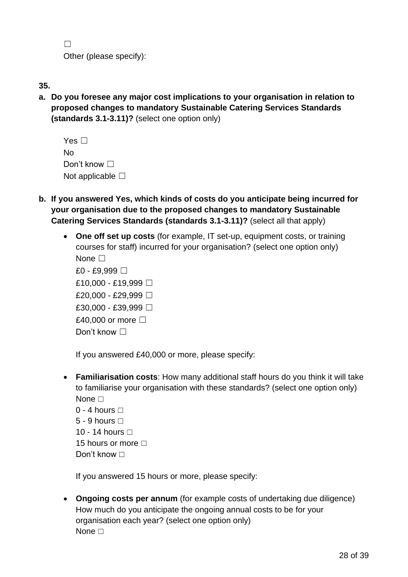$\Box$ Other (please specify):

| ٦<br>۰, | I<br>۰, |  |
|---------|---------|--|
|         |         |  |

**a. Do you foresee any major cost implications to your organisation in relation to proposed changes to mandatory Sustainable Catering Services Standards (standards 3.1-3.11)?** (select one option only)

| Yes $\Box$               |
|--------------------------|
| N٥                       |
| Don't know $\Box$        |
| Not applicable $\square$ |

- **b. If you answered Yes, which kinds of costs do you anticipate being incurred for your organisation due to the proposed changes to mandatory Sustainable Catering Services Standards (standards 3.1-3.11)?** (select all that apply)
	- **One off set up costs** (for example, IT set-up, equipment costs, or training courses for staff) incurred for your organisation? (select one option only) None  $\Box$

| £0 - £9,999 □          |
|------------------------|
| £10,000 - £19,999 □    |
| £20,000 - £29,999 □    |
| £30,000 - £39,999 □    |
| £40,000 or more $\Box$ |
| Don't know $\square$   |

If you answered £40,000 or more, please specify:

• **Familiarisation costs**: How many additional staff hours do you think it will take to familiarise your organisation with these standards? (select one option only) None **□** 

| 0 - 4 hours $\Box$         |
|----------------------------|
| 5 - 9 hours $\Box$         |
| 10 - 14 hours □            |
| 15 hours or more $\square$ |
| Don't know ⊡               |

If you answered 15 hours or more, please specify:

• **Ongoing costs per annum** (for example costs of undertaking due diligence) How much do you anticipate the ongoing annual costs to be for your organisation each year? (select one option only) None **□**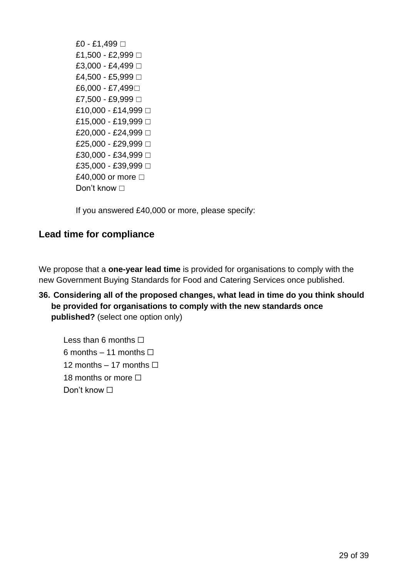£0 - £1,499 □ £1,500 - £2,999 □ £3,000 - £4,499 □ £4,500 - £5,999  $\Box$ £6,000 - £7,499□ £7,500 - £9,999 □ £10,000 - £14,999 □ £15,000 - £19,999 □ £20,000 - £24,999 □ £25,000 - £29,999 □ £30,000 - £34,999 □ £35,000 - £39,999 □ £40,000 or more  $□$ Don't know □

If you answered £40,000 or more, please specify:

# <span id="page-28-0"></span>**Lead time for compliance**

We propose that a **one-year lead time** is provided for organisations to comply with the new Government Buying Standards for Food and Catering Services once published.

# **36. Considering all of the proposed changes, what lead in time do you think should be provided for organisations to comply with the new standards once published?** (select one option only)

Less than 6 months  $\Box$ 6 months – 11 months  $\Box$ 12 months  $-17$  months  $\Box$ 18 months or more □ Don't know □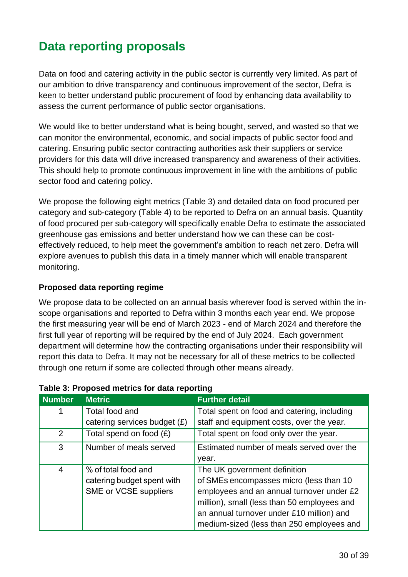# <span id="page-29-0"></span>**Data reporting proposals**

Data on food and catering activity in the public sector is currently very limited. As part of our ambition to drive transparency and continuous improvement of the sector, Defra is keen to better understand public procurement of food by enhancing data availability to assess the current performance of public sector organisations.

We would like to better understand what is being bought, served, and wasted so that we can monitor the environmental, economic, and social impacts of public sector food and catering. Ensuring public sector contracting authorities ask their suppliers or service providers for this data will drive increased transparency and awareness of their activities. This should help to promote continuous improvement in line with the ambitions of public sector food and catering policy.

We propose the following eight metrics (Table 3) and detailed data on food procured per category and sub-category (Table 4) to be reported to Defra on an annual basis. Quantity of food procured per sub-category will specifically enable Defra to estimate the associated greenhouse gas emissions and better understand how we can these can be costeffectively reduced, to help meet the government's ambition to reach net zero. Defra will explore avenues to publish this data in a timely manner which will enable transparent monitoring.

## **Proposed data reporting regime**

We propose data to be collected on an annual basis wherever food is served within the inscope organisations and reported to Defra within 3 months each year end. We propose the first measuring year will be end of March 2023 - end of March 2024 and therefore the first full year of reporting will be required by the end of July 2024. Each government department will determine how the contracting organisations under their responsibility will report this data to Defra. It may not be necessary for all of these metrics to be collected through one return if some are collected through other means already.

| <b>Number</b>  | <b>Metric</b>                  | <b>Further detail</b>                       |
|----------------|--------------------------------|---------------------------------------------|
|                | Total food and                 | Total spent on food and catering, including |
|                | catering services budget $(E)$ | staff and equipment costs, over the year.   |
| 2              | Total spend on food $(E)$      | Total spent on food only over the year.     |
| 3              | Number of meals served         | Estimated number of meals served over the   |
|                |                                | year.                                       |
| $\overline{4}$ | % of total food and            | The UK government definition                |
|                | catering budget spent with     | of SMEs encompasses micro (less than 10     |
|                | SME or VCSE suppliers          | employees and an annual turnover under £2   |
|                |                                | million), small (less than 50 employees and |
|                |                                | an annual turnover under £10 million) and   |
|                |                                | medium-sized (less than 250 employees and   |

#### **Table 3: Proposed metrics for data reporting**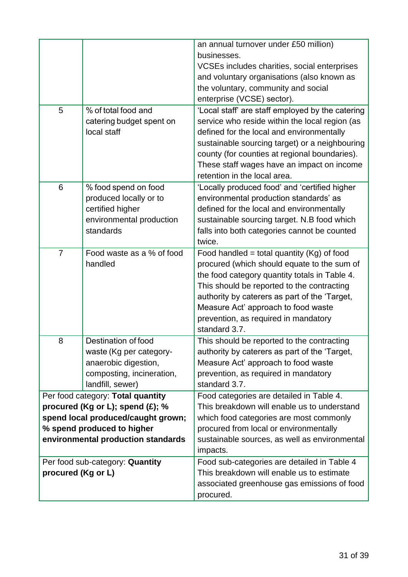| 5                  | % of total food and<br>catering budget spent on<br>local staff                                                          | an annual turnover under £50 million)<br>businesses.<br>VCSEs includes charities, social enterprises<br>and voluntary organisations (also known as<br>the voluntary, community and social<br>enterprise (VCSE) sector).<br>'Local staff' are staff employed by the catering<br>service who reside within the local region (as<br>defined for the local and environmentally<br>sustainable sourcing target) or a neighbouring<br>county (for counties at regional boundaries).<br>These staff wages have an impact on income<br>retention in the local area. |
|--------------------|-------------------------------------------------------------------------------------------------------------------------|-------------------------------------------------------------------------------------------------------------------------------------------------------------------------------------------------------------------------------------------------------------------------------------------------------------------------------------------------------------------------------------------------------------------------------------------------------------------------------------------------------------------------------------------------------------|
| 6                  | % food spend on food<br>produced locally or to<br>certified higher<br>environmental production<br>standards             | 'Locally produced food' and 'certified higher<br>environmental production standards' as<br>defined for the local and environmentally<br>sustainable sourcing target. N.B food which<br>falls into both categories cannot be counted<br>twice.                                                                                                                                                                                                                                                                                                               |
| $\overline{7}$     | Food waste as a % of food<br>handled                                                                                    | Food handled = total quantity ( $Kg$ ) of food<br>procured (which should equate to the sum of<br>the food category quantity totals in Table 4.<br>This should be reported to the contracting<br>authority by caterers as part of the 'Target,<br>Measure Act' approach to food waste<br>prevention, as required in mandatory<br>standard 3.7.                                                                                                                                                                                                               |
| 8                  | Destination of food<br>waste (Kg per category-<br>anaerobic digestion,<br>composting, incineration,<br>landfill, sewer) | This should be reported to the contracting<br>authority by caterers as part of the 'Target,<br>Measure Act' approach to food waste<br>prevention, as required in mandatory<br>standard 3.7.                                                                                                                                                                                                                                                                                                                                                                 |
|                    | Per food category: Total quantity                                                                                       | Food categories are detailed in Table 4.                                                                                                                                                                                                                                                                                                                                                                                                                                                                                                                    |
|                    | procured (Kg or L); spend $(E)$ ; %<br>spend local produced/caught grown;                                               | This breakdown will enable us to understand<br>which food categories are most commonly                                                                                                                                                                                                                                                                                                                                                                                                                                                                      |
|                    | % spend produced to higher                                                                                              | procured from local or environmentally                                                                                                                                                                                                                                                                                                                                                                                                                                                                                                                      |
|                    | environmental production standards                                                                                      | sustainable sources, as well as environmental<br>impacts.                                                                                                                                                                                                                                                                                                                                                                                                                                                                                                   |
|                    | Per food sub-category: Quantity                                                                                         | Food sub-categories are detailed in Table 4                                                                                                                                                                                                                                                                                                                                                                                                                                                                                                                 |
| procured (Kg or L) |                                                                                                                         | This breakdown will enable us to estimate<br>associated greenhouse gas emissions of food<br>procured.                                                                                                                                                                                                                                                                                                                                                                                                                                                       |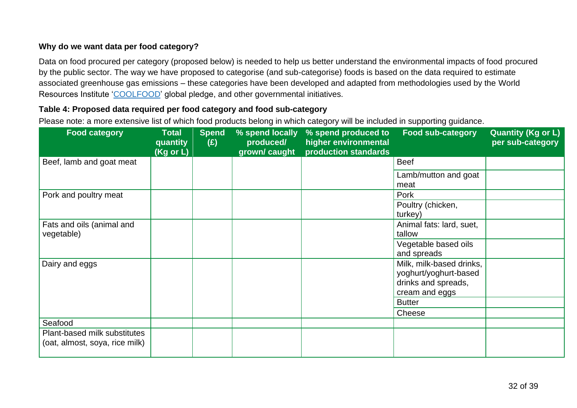## **Why do we want data per food category?**

Data on food procured per category (proposed below) is needed to help us better understand the environmental impacts of food procured by the public sector. The way we have proposed to categorise (and sub-categorise) foods is based on the data required to estimate associated greenhouse gas emissions – these categories have been developed and adapted from methodologies used by the World Resources Institute ['COOLFOOD'](https://www.wri.org/research/tracking-progress-toward-cool-food-pledge) global pledge, and other governmental initiatives.

#### **Table 4: Proposed data required per food category and food sub-category**

Please note: a more extensive list of which food products belong in which category will be included in supporting guidance.

| <b>Food category</b>                                           | <b>Total</b><br>quantity<br>(Kg or L) | <b>Spend</b><br>(E) | % spend locally<br>produced/<br>grown/ caught | % spend produced to<br>higher environmental<br>production standards | <b>Food sub-category</b>                                                                   | <b>Quantity (Kg or L)</b><br>per sub-category |
|----------------------------------------------------------------|---------------------------------------|---------------------|-----------------------------------------------|---------------------------------------------------------------------|--------------------------------------------------------------------------------------------|-----------------------------------------------|
| Beef, lamb and goat meat                                       |                                       |                     |                                               |                                                                     | <b>Beef</b>                                                                                |                                               |
|                                                                |                                       |                     |                                               |                                                                     | Lamb/mutton and goat<br>meat                                                               |                                               |
| Pork and poultry meat                                          |                                       |                     |                                               |                                                                     | Pork                                                                                       |                                               |
|                                                                |                                       |                     |                                               |                                                                     | Poultry (chicken,<br>turkey)                                                               |                                               |
| Fats and oils (animal and<br>vegetable)                        |                                       |                     |                                               |                                                                     | Animal fats: lard, suet,<br>tallow                                                         |                                               |
|                                                                |                                       |                     |                                               |                                                                     | Vegetable based oils<br>and spreads                                                        |                                               |
| Dairy and eggs                                                 |                                       |                     |                                               |                                                                     | Milk, milk-based drinks,<br>yoghurt/yoghurt-based<br>drinks and spreads,<br>cream and eggs |                                               |
|                                                                |                                       |                     |                                               |                                                                     | <b>Butter</b>                                                                              |                                               |
|                                                                |                                       |                     |                                               |                                                                     | Cheese                                                                                     |                                               |
| Seafood                                                        |                                       |                     |                                               |                                                                     |                                                                                            |                                               |
| Plant-based milk substitutes<br>(oat, almost, soya, rice milk) |                                       |                     |                                               |                                                                     |                                                                                            |                                               |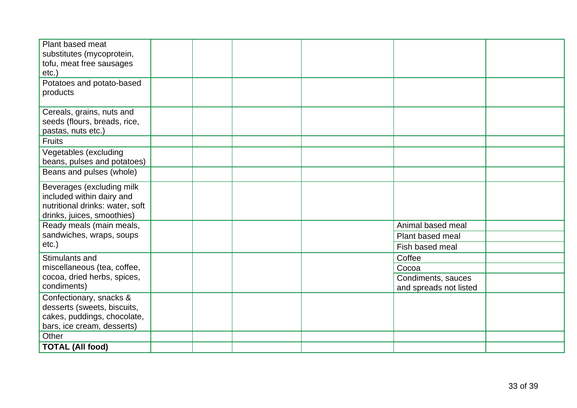| Plant based meat                |  |                        |  |
|---------------------------------|--|------------------------|--|
| substitutes (mycoprotein,       |  |                        |  |
| tofu, meat free sausages        |  |                        |  |
| $etc.$ )                        |  |                        |  |
| Potatoes and potato-based       |  |                        |  |
| products                        |  |                        |  |
|                                 |  |                        |  |
| Cereals, grains, nuts and       |  |                        |  |
| seeds (flours, breads, rice,    |  |                        |  |
| pastas, nuts etc.)              |  |                        |  |
| <b>Fruits</b>                   |  |                        |  |
| Vegetables (excluding           |  |                        |  |
| beans, pulses and potatoes)     |  |                        |  |
| Beans and pulses (whole)        |  |                        |  |
| Beverages (excluding milk       |  |                        |  |
| included within dairy and       |  |                        |  |
| nutritional drinks: water, soft |  |                        |  |
| drinks, juices, smoothies)      |  |                        |  |
| Ready meals (main meals,        |  | Animal based meal      |  |
| sandwiches, wraps, soups        |  | Plant based meal       |  |
| $etc.$ )                        |  | Fish based meal        |  |
| Stimulants and                  |  | Coffee                 |  |
| miscellaneous (tea, coffee,     |  | Cocoa                  |  |
| cocoa, dried herbs, spices,     |  | Condiments, sauces     |  |
| condiments)                     |  | and spreads not listed |  |
| Confectionary, snacks &         |  |                        |  |
| desserts (sweets, biscuits,     |  |                        |  |
| cakes, puddings, chocolate,     |  |                        |  |
| bars, ice cream, desserts)      |  |                        |  |
| Other                           |  |                        |  |
| <b>TOTAL (All food)</b>         |  |                        |  |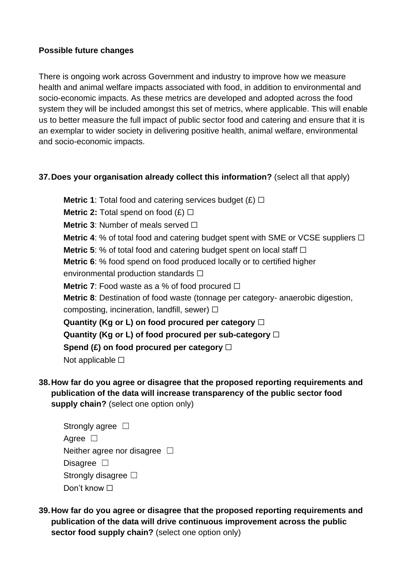## **Possible future changes**

There is ongoing work across Government and industry to improve how we measure health and animal welfare impacts associated with food, in addition to environmental and socio-economic impacts. As these metrics are developed and adopted across the food system they will be included amongst this set of metrics, where applicable. This will enable us to better measure the full impact of public sector food and catering and ensure that it is an exemplar to wider society in delivering positive health, animal welfare, environmental and socio-economic impacts.

## **37.Does your organisation already collect this information?** (select all that apply)

**Metric 1**: Total food and catering services budget  $(E)$   $\Box$ **Metric 2:** Total spend on food  $(E)$   $\Box$ **Metric 3: Number of meals served** □ **Metric 4:** % of total food and catering budget spent with SME or VCSE suppliers □ **Metric 5**: % of total food and catering budget spent on local staff □ **Metric 6**: % food spend on food produced locally or to certified higher environmental production standards □ **Metric 7:** Food waste as a % of food procured  $\Box$ **Metric 8**: Destination of food waste (tonnage per category- anaerobic digestion, composting, incineration, landfill, sewer)  $\Box$ **Quantity (Kg or L) on food procured per category** ☐ **Quantity (Kg or L) of food procured per sub-category** ☐ **Spend (£) on food procured per category** ☐ Not applicable **□** 

**38.How far do you agree or disagree that the proposed reporting requirements and publication of the data will increase transparency of the public sector food supply chain?** (select one option only)

Strongly agree  $\square$ Agree □ Neither agree nor disagree  $\Box$ Disagree **□** Strongly disagree □ Don't know **□** 

**39.How far do you agree or disagree that the proposed reporting requirements and publication of the data will drive continuous improvement across the public sector food supply chain?** (select one option only)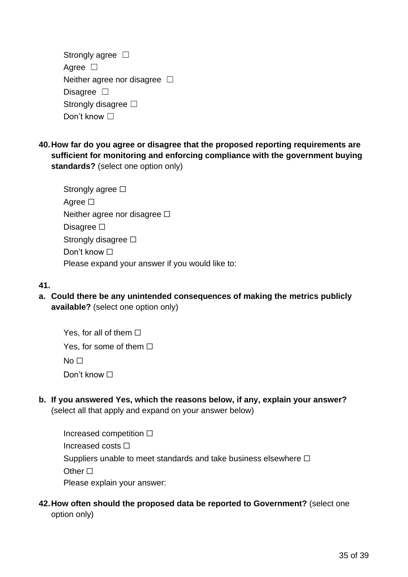| Strongly agree $\Box$             |  |
|-----------------------------------|--|
| Agree $\Box$                      |  |
| Neither agree nor disagree $\Box$ |  |
| Disagree $\square$                |  |
| Strongly disagree $\square$       |  |
| Don't know $\Box$                 |  |

**40.How far do you agree or disagree that the proposed reporting requirements are sufficient for monitoring and enforcing compliance with the government buying standards?** (select one option only)

| Strongly agree $\Box$                           |
|-------------------------------------------------|
| Agree $\square$                                 |
| Neither agree nor disagree $\square$            |
| Disagree $\Box$                                 |
| Strongly disagree $\Box$                        |
| Don't know $\Box$                               |
| Please expand your answer if you would like to: |

# **41.**

**a. Could there be any unintended consequences of making the metrics publicly available?** (select one option only)

Yes, for all of them  $\Box$ Yes, for some of them  $\Box$  $No<sub>1</sub>$ Don't know □

**b. If you answered Yes, which the reasons below, if any, explain your answer?** (select all that apply and expand on your answer below)

Increased competition ☐ Increased costs ☐ Suppliers unable to meet standards and take business elsewhere  $\Box$ Other □ Please explain your answer:

# **42.How often should the proposed data be reported to Government?** (select one option only)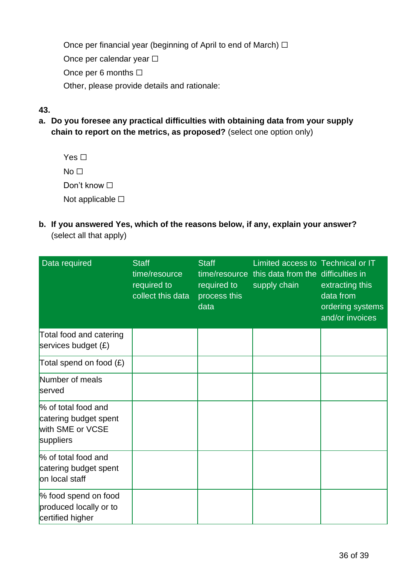Once per financial year (beginning of April to end of March)  $\Box$ Once per calendar year □ Once per 6 months  $\Box$ Other, please provide details and rationale:

# **43.**

- **a. Do you foresee any practical difficulties with obtaining data from your supply chain to report on the metrics, as proposed?** (select one option only)
	- Yes □  $No<sub>1</sub>$ Don't know **□** Not applicable □
- **b. If you answered Yes, which of the reasons below, if any, explain your answer?**  (select all that apply)

| Data required                                                                 | <b>Staff</b><br>time/resource<br>required to<br>collect this data | <b>Staff</b><br>required to<br>process this<br>data | Limited access to Technical or IT<br>time/resource this data from the difficulties in<br>supply chain | extracting this<br>data from<br>ordering systems<br>and/or invoices |
|-------------------------------------------------------------------------------|-------------------------------------------------------------------|-----------------------------------------------------|-------------------------------------------------------------------------------------------------------|---------------------------------------------------------------------|
| Total food and catering<br>services budget $(E)$                              |                                                                   |                                                     |                                                                                                       |                                                                     |
| Total spend on food $(E)$                                                     |                                                                   |                                                     |                                                                                                       |                                                                     |
| Number of meals<br>served                                                     |                                                                   |                                                     |                                                                                                       |                                                                     |
| % of total food and<br>catering budget spent<br>with SME or VCSE<br>suppliers |                                                                   |                                                     |                                                                                                       |                                                                     |
| % of total food and<br>catering budget spent<br>on local staff                |                                                                   |                                                     |                                                                                                       |                                                                     |
| % food spend on food<br>produced locally or to<br>certified higher            |                                                                   |                                                     |                                                                                                       |                                                                     |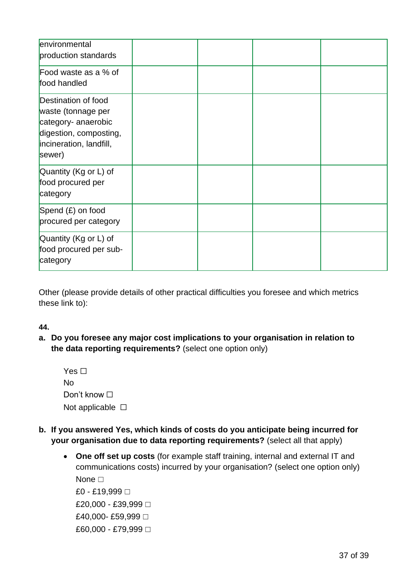| environmental<br>production standards                                                                                           |  |  |
|---------------------------------------------------------------------------------------------------------------------------------|--|--|
| Food waste as a % of<br>food handled                                                                                            |  |  |
| Destination of food<br>waste (tonnage per<br>category- anaerobic<br>digestion, composting,<br>incineration, landfill,<br>sewer) |  |  |
| Quantity (Kg or L) of<br>food procured per<br>category                                                                          |  |  |
| Spend $(E)$ on food<br>procured per category                                                                                    |  |  |
| Quantity (Kg or L) of<br>food procured per sub-<br>category                                                                     |  |  |

Other (please provide details of other practical difficulties you foresee and which metrics these link to):

## **44.**

**a. Do you foresee any major cost implications to your organisation in relation to the data reporting requirements?** (select one option only)

| Yes $\Box$            |  |
|-----------------------|--|
| No                    |  |
| Don't know $\square$  |  |
| Not applicable $\Box$ |  |

- **b. If you answered Yes, which kinds of costs do you anticipate being incurred for your organisation due to data reporting requirements?** (select all that apply)
	- **One off set up costs** (for example staff training, internal and external IT and communications costs) incurred by your organisation? (select one option only) None **□**

£0 - £19,999 □ £20,000 - £39,999 □ £40,000-£59,999 □ £60,000 - £79,999 □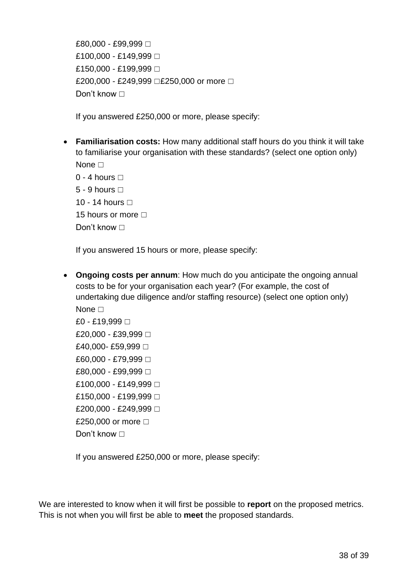£80,000 - £99,999 □ £100,000 - £149,999 □ £150,000 - £199,999 □ £200,000 - £249,999 □£250,000 or more □ Don't know □

If you answered £250,000 or more, please specify:

• **Familiarisation costs:** How many additional staff hours do you think it will take to familiarise your organisation with these standards? (select one option only) None **□** 

 $0 - 4$  hours  $\Box$ 5 - 9 hours  $\Box$ 10 - 14 hours **□** 15 hours or more  $\Box$ 

Don't know **□** 

If you answered 15 hours or more, please specify:

• **Ongoing costs per annum**: How much do you anticipate the ongoing annual costs to be for your organisation each year? (For example, the cost of undertaking due diligence and/or staffing resource) (select one option only) None **□** 

£0 - £19,999 □ £20,000 - £39,999 □ £40,000-£59,999 □ £60,000 - £79,999 □ £80,000 - £99,999 □ £100,000 - £149,999 □ £150,000 - £199,999 □ £200,000 - £249,999 □ £250,000 or more □ Don't know **□** 

If you answered £250,000 or more, please specify:

We are interested to know when it will first be possible to **report** on the proposed metrics. This is not when you will first be able to **meet** the proposed standards.